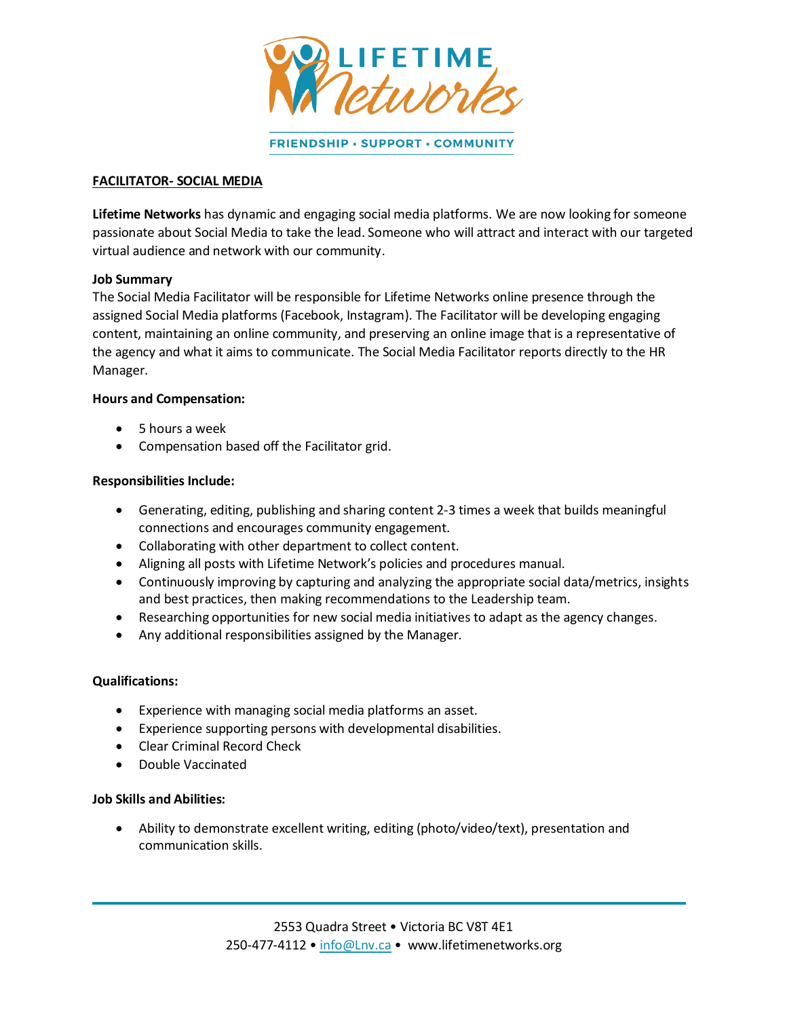

FRIENDSHIP · SUPPORT · COMMUNITY

## **FACILITATOR- SOCIAL MEDIA**

**Lifetime Networks** has dynamic and engaging social media platforms. We are now looking for someone passionate about Social Media to take the lead. Someone who will attract and interact with our targeted virtual audience and network with our community.

#### **Job Summary**

The Social Media Facilitator will be responsible for Lifetime Networks online presence through the assigned Social Media platforms (Facebook, Instagram). The Facilitator will be developing engaging content, maintaining an online community, and preserving an online image that is a representative of the agency and what it aims to communicate. The Social Media Facilitator reports directly to the HR Manager.

#### **Hours and Compensation:**

- 5 hours a week
- Compensation based off the Facilitator grid.

#### **Responsibilities Include:**

- Generating, editing, publishing and sharing content 2-3 times a week that builds meaningful connections and encourages community engagement.
- Collaborating with other department to collect content.
- Aligning all posts with Lifetime Network's policies and procedures manual.
- Continuously improving by capturing and analyzing the appropriate social data/metrics, insights and best practices, then making recommendations to the Leadership team.
- Researching opportunities for new social media initiatives to adapt as the agency changes.
- Any additional responsibilities assigned by the Manager.

### **Qualifications:**

- Experience with managing social media platforms an asset.
- Experience supporting persons with developmental disabilities.
- Clear Criminal Record Check
- Double Vaccinated

## **Job Skills and Abilities:**

 Ability to demonstrate excellent writing, editing (photo/video/text), presentation and communication skills.